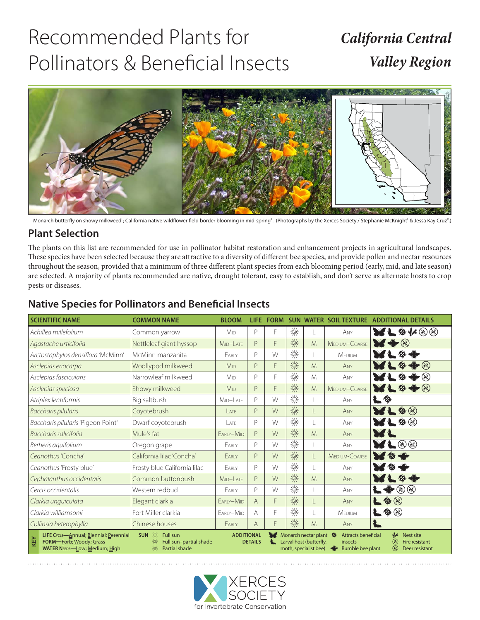# Recommended Plants for Pollinators & Beneficial Insects

## *California Central Valley Region*



Monarch butterfly on showy milkweed<sup>u</sup>; California native wildflower field border blooming in mid-spring<sup>R</sup>. (Photographs by the Xerces Society / Stephanie McKnight<sup>u</sup> & Jessa Kay Cruz<sup>R</sup>.)

### **Plant Selection**

The plants on this list are recommended for use in pollinator habitat restoration and enhancement projects in agricultural landscapes. These species have been selected because they are attractive to a diversity of different bee species, and provide pollen and nectar resources throughout the season, provided that a minimum of three different plant species from each blooming period (early, mid, and late season) are selected. A majority of plants recommended are native, drought tolerant, easy to establish, and don't serve as alternate hosts to crop pests or diseases.

| <b>SCIENTIFIC NAME</b>    |                                                                                                                                                                                                                                                                                                                                                                                                                                                                                                     | <b>COMMON NAME</b>           | <b>BLOOM</b>           | <b>LIFE</b>    | <b>FORM</b> | <b>SUN</b> |   | <b>WATER SOIL TEXTURE</b> | <b>ADDITIONAL DETAILS</b>          |
|---------------------------|-----------------------------------------------------------------------------------------------------------------------------------------------------------------------------------------------------------------------------------------------------------------------------------------------------------------------------------------------------------------------------------------------------------------------------------------------------------------------------------------------------|------------------------------|------------------------|----------------|-------------|------------|---|---------------------------|------------------------------------|
|                           | Achillea millefolium                                                                                                                                                                                                                                                                                                                                                                                                                                                                                | Common yarrow                | <b>M</b> <sub>ID</sub> | P              | F           | 涤          |   | ANY                       | <b>RF&amp;K@@</b>                  |
|                           | Agastache urticifolia                                                                                                                                                                                                                                                                                                                                                                                                                                                                               | Nettleleaf giant hyssop      | MID-LATE               | P              | F           | 燊          | M | MEDIUM-COARSE             | $\cdot$ (R)                        |
|                           | Arctostaphylos densiflora 'McMinn'                                                                                                                                                                                                                                                                                                                                                                                                                                                                  | McMinn manzanita             | EARLY                  | $\mathsf{P}$   | W           | 燊          | L | MEDIUM                    | -69                                |
|                           | Asclepias eriocarpa                                                                                                                                                                                                                                                                                                                                                                                                                                                                                 | Woollypod milkweed           | <b>M<sub>ID</sub></b>  | P              | F           | 涤          | M | ANY                       | $\cdot$ (K)                        |
|                           | Asclepias fascicularis                                                                                                                                                                                                                                                                                                                                                                                                                                                                              | Narrowleaf milkweed          | <b>M<sub>ID</sub></b>  | $\mathsf{P}$   | F           | 燊          | M | ANY                       | (*                                 |
|                           | Asclepias speciosa                                                                                                                                                                                                                                                                                                                                                                                                                                                                                  | Showy milkweed               | <b>M<sub>ID</sub></b>  | P              | F           | 涤          | M | MEDIUM-COARSE             | $\blacktriangleright$<br>$\bullet$ |
|                           | Atriplex lentiformis                                                                                                                                                                                                                                                                                                                                                                                                                                                                                | Big saltbush                 | MID-LATE               | $\mathsf{P}$   | W           | 燚          | L | ANY                       | 一个                                 |
|                           | Baccharis pilularis                                                                                                                                                                                                                                                                                                                                                                                                                                                                                 | Coyotebrush                  | IATF                   | P              | W           | 涤          | L | ANY                       | $\bullet$                          |
|                           | Baccharis pilularis 'Pigeon Point'                                                                                                                                                                                                                                                                                                                                                                                                                                                                  | Dwarf coyotebrush            | IATF                   | $\mathsf{P}$   | W           | 燊          | L | ANY                       | $\bullet$ $\circledast$            |
|                           | Baccharis salicifolia                                                                                                                                                                                                                                                                                                                                                                                                                                                                               | Mule's fat                   | EARLY-MID              | P              | W           | 燊          | M | ANY                       |                                    |
| Berberis aguifolium       |                                                                                                                                                                                                                                                                                                                                                                                                                                                                                                     | Oregon grape                 | EARLY                  | P              | W           | 涤          | L | ANY                       | $\circledast$                      |
| Ceanothus 'Concha'        |                                                                                                                                                                                                                                                                                                                                                                                                                                                                                                     | California lilac 'Concha'    | FARIY                  | P              | W           | 燊          | L | MEDIUM-COARSE             | ≪                                  |
| Ceanothus 'Frosty blue'   |                                                                                                                                                                                                                                                                                                                                                                                                                                                                                                     | Frosty blue California lilac | EARLY                  | $\mathsf{P}$   | W           | 燊          | L | ANY                       | ′⊗                                 |
| Cephalanthus occidentalis |                                                                                                                                                                                                                                                                                                                                                                                                                                                                                                     | Common buttonbush            | MID-LATE               | P              | W           | 漆          | M | ANY                       |                                    |
| Cercis occidentalis       |                                                                                                                                                                                                                                                                                                                                                                                                                                                                                                     | Western redbud               | EARLY                  | $\mathsf{P}$   | W           | 燊          | L | ANY                       | ₩⊗⊛                                |
| Clarkia unguiculata       |                                                                                                                                                                                                                                                                                                                                                                                                                                                                                                     | Elegant clarkia              | EARLY-MID              | $\overline{A}$ | F           | 燊          | L | ANY                       | $\bullet$                          |
| Clarkia williamsonii      |                                                                                                                                                                                                                                                                                                                                                                                                                                                                                                     | Fort Miller clarkia          | EARLY-MID              | A              | F           | 燊          |   | MEDIUM                    | $\blacktriangle \otimes \otimes$   |
| Collinsia heterophylla    |                                                                                                                                                                                                                                                                                                                                                                                                                                                                                                     | Chinese houses               | EARLY                  | $\overline{A}$ | F           | 燊          | M | ANY                       |                                    |
| KEY                       | SUN ※<br>$\mathcal{U}$ Nest site<br><b>ADDITIONAL</b><br>Monarch nectar plant <a><br/>LIFE CycLE-Annual; Biennial; Perennial<br/>Attracts beneficial<br/><b>Full sun</b><br/>※<br/>⊛<br/>FORM-Eorb; Woody; Grass<br/><b>DETAILS</b><br/>Larval host (butterfly,<br/>Full sun-partial shade<br/>Fire resistant<br/>insects<br/><math>\circledR</math><br/><b>Partial shade</b><br/>moth, specialist bee)<br/><b>Bumble bee plant</b><br/><b>WATER NEEDS-LOW; Medium; High</b><br/>Deer resistant</a> |                              |                        |                |             |            |   |                           |                                    |

#### **Native Species for Pollinators and Beneficial Insects**